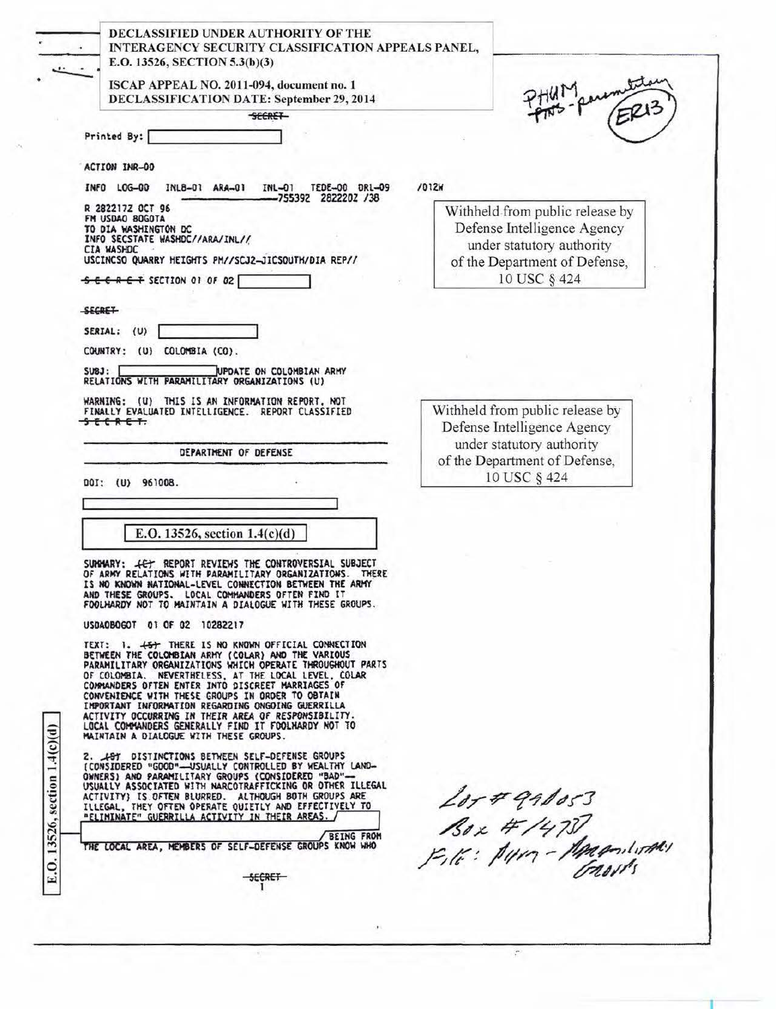| E.O. 13526, SECTION 5.3(b)(3)                                                                                                                                                                                                                                                                                                                     |                                                                            |  |
|---------------------------------------------------------------------------------------------------------------------------------------------------------------------------------------------------------------------------------------------------------------------------------------------------------------------------------------------------|----------------------------------------------------------------------------|--|
| ISCAP APPEAL NO. 2011-094, document no. 1<br><b>DECLASSIFICATION DATE: September 29, 2014</b>                                                                                                                                                                                                                                                     |                                                                            |  |
| <b>SECRET</b>                                                                                                                                                                                                                                                                                                                                     |                                                                            |  |
| Printed By:                                                                                                                                                                                                                                                                                                                                       |                                                                            |  |
| ACTION INR-00                                                                                                                                                                                                                                                                                                                                     |                                                                            |  |
| 7012M<br>INFO LOG-00<br>INL8-01 ARA-01<br>$INL-01$<br>TEDE-00 DRL-09<br>-755392 2822202 /38                                                                                                                                                                                                                                                       |                                                                            |  |
| R 282217Z OCT 96<br>FM USDAO BOGOTA                                                                                                                                                                                                                                                                                                               | Withheld from public release by                                            |  |
| TO DIA WASHINGTON DC<br>INFO SECSTATE WASHDC//ARA/INL//                                                                                                                                                                                                                                                                                           | Defense Intelligence Agency                                                |  |
| CIA WASHDC<br>USCINCSO QUARRY HEIGHTS PM//SCJ2-JICSOUTH/DIA REP//                                                                                                                                                                                                                                                                                 | under statutory authority                                                  |  |
| <del>SECRET</del> SECTION 01 OF 02                                                                                                                                                                                                                                                                                                                | of the Department of Defense,<br>10 USC § 424                              |  |
|                                                                                                                                                                                                                                                                                                                                                   |                                                                            |  |
| <b>SECRET</b>                                                                                                                                                                                                                                                                                                                                     |                                                                            |  |
| SERIAL: (U)                                                                                                                                                                                                                                                                                                                                       |                                                                            |  |
| COUNTRY: (U) COLOMBIA (CO).                                                                                                                                                                                                                                                                                                                       |                                                                            |  |
| <b>SUBJ:</b><br>UPDATE ON COLOMBIAN ARMY<br>RELATIONS WITH PARAMILITARY ORGANIZATIONS (U)                                                                                                                                                                                                                                                         |                                                                            |  |
| WARNING: (U) THIS IS AN INFORMATION REPORT, NOT<br>FINALLY EVALUATED INTELLIGENCE. REPORT CLASSIFIED                                                                                                                                                                                                                                              | Withheld from public release by                                            |  |
| <del>secaet.</del>                                                                                                                                                                                                                                                                                                                                | Defense Intelligence Agency                                                |  |
| DEPARTMENT OF DEFENSE                                                                                                                                                                                                                                                                                                                             | under statutory authority<br>of the Department of Defense,<br>10 USC § 424 |  |
| DOI: (U) 961008.                                                                                                                                                                                                                                                                                                                                  |                                                                            |  |
|                                                                                                                                                                                                                                                                                                                                                   |                                                                            |  |
| E.O. 13526, section $1.4(c)(d)$                                                                                                                                                                                                                                                                                                                   |                                                                            |  |
|                                                                                                                                                                                                                                                                                                                                                   |                                                                            |  |
| SUPPHARY: JET REPORT REVIEWS THE CONTROVERSIAL SUBJECT<br>OF ARMY RELATIONS WITH PARAMILITARY ORGANIZATIONS. THERE<br>IS NO KNOWN NATIONAL-LEVEL CONNECTION BETWEEN THE ARMY<br>AND THESE GROUPS. LOCAL COMMANDERS OFTEN FIND IT<br>FOOLHARDY NOT TO MAINTAIN A DIALOGUE WITH THESE GROUPS.                                                       |                                                                            |  |
| USDAOBOGOT 01 OF 02 10282217                                                                                                                                                                                                                                                                                                                      |                                                                            |  |
| TEXT: 1. 457 THERE IS NO KNOWN OFFICIAL CONNECTION                                                                                                                                                                                                                                                                                                |                                                                            |  |
| BETWEEN THE COLOMBIAN ARMY (COLAR) AND THE VARIOUS<br>PARAMILITARY ORGANIZATIONS WHICH OPERATE THROUGHOUT PARTS                                                                                                                                                                                                                                   |                                                                            |  |
| OF COLOMBIA. NEVERTHELESS, AT THE LOCAL LEVEL, COLAR<br>COMMANDERS OFTEN ENTER INTO DISCREET MARRIAGES OF                                                                                                                                                                                                                                         |                                                                            |  |
| CONVENIENCE WITH THESE GROUPS IN ORDER TO OBTAIN<br>IMPORTANT INFORMATION REGARDING ONGOING GUERRILLA                                                                                                                                                                                                                                             |                                                                            |  |
| ACTIVITY OCCURRING IN THEIR AREA OF RESPONSIBILITY.<br>LOCAL COMMANDERS GENERALLY FIND IT FOOLHARDY NOT TO<br>MAINTAIN A DIALOGUE WITH THESE GROUPS.                                                                                                                                                                                              |                                                                            |  |
| 2. JOY DISTINCTIONS BETWEEN SELF-DEFENSE GROUPS                                                                                                                                                                                                                                                                                                   |                                                                            |  |
| (CONSIDERED "GOOD"-- USUALLY CONTROLLED BY WEALTHY LAND-<br>OWNERS) AND PARAMILITARY GROUPS (CONSIDERED "BAD"-<br>USUALLY ASSOCIATED WITH NARCOTRAFFICKING OR OTHER ILLEGAL<br>ACTIVITY} IS OFTEN BLURRED. ALTHOUGH BOTH GROUPS ARE<br>ILLEGAL, THEY OFTEN OPERATE QUIETLY AND EFFECTIVELY TO<br>"ELIMINATE" GUERRILLA ACTIVITY IN THEIR AREAS. / | $207491053$<br>Box #/4737<br>File: 1419 - 1400 mint                        |  |
| <b>BEING FROM</b>                                                                                                                                                                                                                                                                                                                                 |                                                                            |  |
|                                                                                                                                                                                                                                                                                                                                                   |                                                                            |  |
| THE LOCAL AREA, MEMBERS OF SELF-DEFENSE GROUPS KNOW WHO                                                                                                                                                                                                                                                                                           |                                                                            |  |

 $\overline{\cdot}$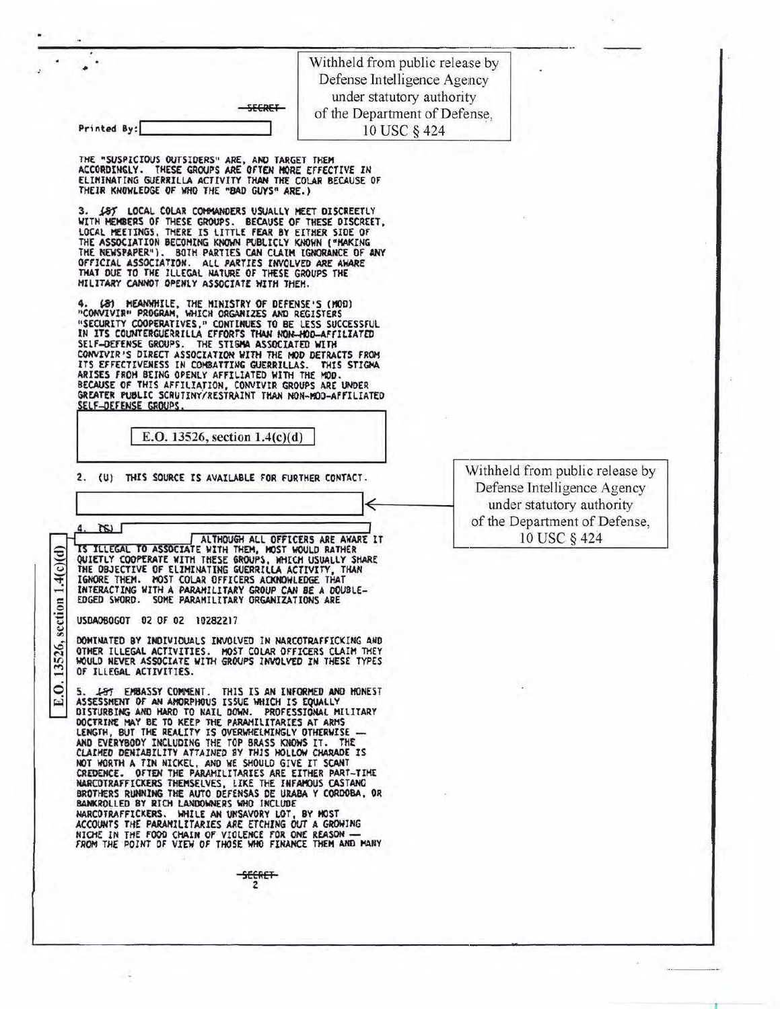|             |  | <b>CCBET</b> |
|-------------|--|--------------|
| Printed By: |  |              |

Withheld from public release by Defense Intelligence Agency under statutory authority of the Department of Defense. 10 USC § 424

THE "SUSPICIOUS OUTSIDERS" ARE, AND TARGET THEM<br>ACCORDINGLY. THESE GROUPS ARE OFTEN MORE EFFECTIVE IN<br>ELIMINATING GUERRILLA ACTIVITY THAN THE COLAR BECAUSE OF THEIR KNOWLEDGE OF WHO THE "BAD GUYS" ARE.)

187 LOCAL COLAR COMMANDERS USUALLY MEET DISCREETLY WITH HEMBERS OF THESE GROUPS. BECAUSE OF THESE DISCREET,<br>LOCAL MEETINGS, THERE IS LITTLE FEAR BY EITHER SIDE OF<br>THE ASSOCIATION BECOMING KNOWN PUBLICLY KNOWN ("MAKING<br>THE NEWSPAPER"). BOTH PARTIES CAN CLAIM IGNORANCE OF AN OFFICIAL ASSOCIATION. ALL PARTIES INVOLVED ARE AW ALL PARTIES INVOLVED ARE AWARE MILITARY CANNOT OPENLY ASSOCIATE WITH THEM.

4. (81 MEANHHILE, THE MINISTRY OF DEFENSE'S (MOD)<br>"CONVIVIR" PROGRAM, WHICH ORGANIZES AND REGISTERS<br>"SECURITY COOPERATIVES," CONTINUES TO BE LESS SUCCESSFUL<br>IN ITS COUNTERGUERRILLA EFFORTS THAN RON-MOD-AFFILIATED<br>SELF-DEFE SELF-DEFENSE GROUPS. THE STIGMA ASSOCIATED WITH CONVIVIR'S DIRECT ASSOCIATION WITH THE MOD DETRACTS FROM<br>ITS EFFECTIVENESS IN COMBATTING GUERRILLAS. THIS STIGMA<br>ARISES FROM BEING OPENLY AFFILIATED WITH THE MOD.<br>BECAUSE OF SELF-DEFENSE GROUPS

E.O. 13526, section  $1.4(c)(d)$ 

2. (U) THIS SOURCE IS AVAILABLE FOR FURTHER CONTACT.

 $\frac{1}{2}$ 4. ALTHOUGH ALL OFFICERS ARE AWARE IT IS ILLEGAL TO ASSOCIATE WITH THEM, MOST WOULD RATHER<br>QUIETLY COOPERATE WITH THESE GROUPS, WHICH USUALLY SHARE<br>THE OBJECTIVE OF ELIMINATING GUERRILLA ACTIVITY, THAN MOST COLAR OFFICERS ACKNOWLEDGE THAT IGNORE THEM. INTERACTING WITH A PARAMILITARY GROUP CAN BE A DOUBLE-EDGED SWORD. SOME PARAMILITARY ORGANIZATIONS ARE

USDA0BOGOT 02 OF 02 10282217

 $1.4(c)(d)$ 

section

13526.

 $\circ$ E.

DOMINATED BY INDIVIDUALS INVOLVED IN NARCOTRAFFICKING AND OTHER ILLEGAL ACTIVITIES. HOST COLAR OFFICERS CLAIM THEY<br>HOULD NEVER ASSOCIATE WITH GROUPS INVOLVED IN THESE TYPES OF ILLEGAL ACTIVITIES.

5. *LET EHBASSY COMMENT.* THIS IS AN INFORMED AND HONEST<br>ASSESSMENT OF AN AMORPHOUS ISSUE WHICH IS EQUALLY<br>DISTURBING AND HARD TO NAIL DOWN. PROFESSIONAL MILITARY<br>DOCTRINE MAY BE TO KEEP THE PARAMILITARIES AT ARMS<br>LENGTH, CARTINE OF THE PARAMILITARIES ARE EITHER PART-TIME<br>NOT WORTH A TIN NICKEL, AND WE SHOULD GIVE IT SCANT<br>CREDENCE. OFTEN THE PARAMILITARIES ARE EITHER PART-TIME<br>BROTHERS RUNNING THE AUTO DEFENSAS DE URABA Y CORDOBA, OR BANKROLLED BY RICH LANDOWNERS WHO INCLUDE NARCOTRAFFICKERS. WHILE AN UNSAVORY LOT, BY MOST<br>ACCOUNTS THE PARAMILITARIES ARE ETCHING OUT A GROWING<br>NICHE IN THE FOOD CHAIN OF VIOLENCE FOR ONE REASON --<br>FROM THE POINT OF VIEW OF THOSE WHO FINANCE THEM AND MANY

**SECRET** 

Withheld from public release by Defense Intelligence Agency under statutory authority of the Department of Defense. 10 USC § 424